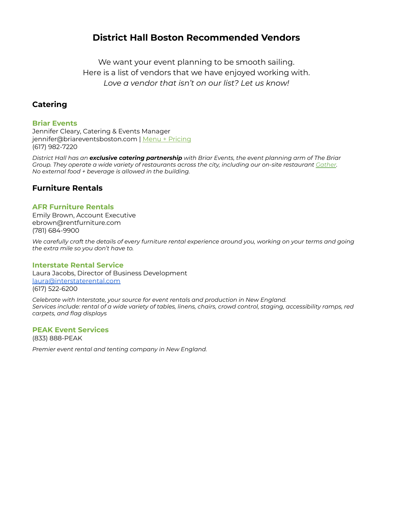# **District Hall Boston Recommended Vendors**

We want your event planning to be smooth sailing. Here is a list of vendors that we have enjoyed working with. *Love a vendor that isn't on our list? Let us know!*

# **Catering**

## **Briar Events**

Jennifer Cleary, Catering & Events Manager jennifer@briareventsboston.com | Menu + [Pricing](http://districthallboston.org/wp-content/uploads/2019/10/District-Hall-Catering-Menu.pdf) (617) 982-7220

District Hall has an exclusive catering partnership with Briar Events, the event planning arm of The Briar Group. They operate a wide variety of restaurants across the city, including our on-site restaurant [Gather](https://gatherboston.com/). *No external food + beverage is allowed in the building.*

## **Furniture Rentals**

## **AFR Furniture Rentals**

Emily Brown, Account Executive ebrown@rentfurniture.com (781) 684-9900

We carefully craft the details of every furniture rental experience around you, working on your terms and going *the extra mile so you don't have to.*

### **Interstate Rental Service**

Laura Jacobs, Director of Business Development [laura@interstaterental.com](mailto:laura@interstaterental.com) (617) 522-6200

*Celebrate with Interstate, your source for event rentals and production in New England.* Services include: rental of a wide variety of tables, linens, chairs, crowd control, staging, accessibility ramps, red *carpets, and flag displays*

## **PEAK Event Services**

(833) 888-PEAK

*Premier event rental and tenting company in New England.*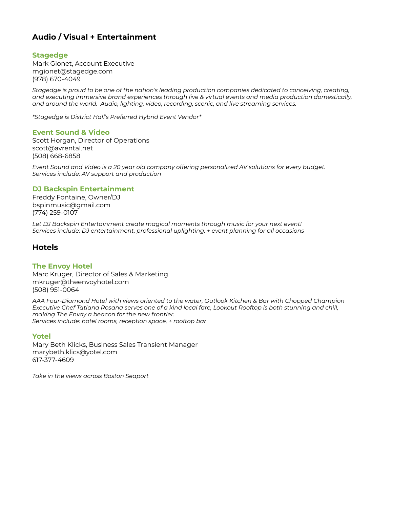# **Audio / Visual + Entertainment**

## **Stagedge**

Mark Gionet, Account Executive mgionet@stagedge.com (978) 670-4049

*Stagedge is proud to be one of the nation's leading production companies dedicated to conceiving, creating, and executing immersive brand experiences through live & virtual events and media production domestically, and around the world. Audio, lighting, video, recording, scenic, and live streaming services.*

*\*Stagedge is District Hall's Preferred Hybrid Event Vendor\**

### **Event Sound & Video**

Scott Horgan, Director of Operations scott@avrental.net (508) 668-6858

*Event Sound and Video is a 20 year old company offering personalized AV solutions for every budget. Services include: AV support and production*

## **DJ Backspin Entertainment**

Freddy Fontaine, Owner/DJ bspinmusic@gmail.com (774) 259-0107

*Let DJ Backspin Entertainment create magical moments through music for your next event! Services include: DJ entertainment, professional uplighting, + event planning for all occasions*

## **Hotels**

### **The Envoy Hotel**

Marc Kruger, Director of Sales & Marketing mkruger@theenvoyhotel.com (508) 951-0064

*AAA Four-Diamond Hotel with views oriented to the water, Outlook Kitchen & Bar with Chopped Champion* Executive Chef Tatiana Rosana serves one of a kind local fare, Lookout Rooftop is both stunning and chill, *making The Envoy a beacon for the new frontier. Services include: hotel rooms, reception space, + rooftop bar*

### **Yotel**

Mary Beth Klicks, Business Sales Transient Manager marybeth.klics@yotel.com 617-377-4609

*Take in the views across Boston Seaport*